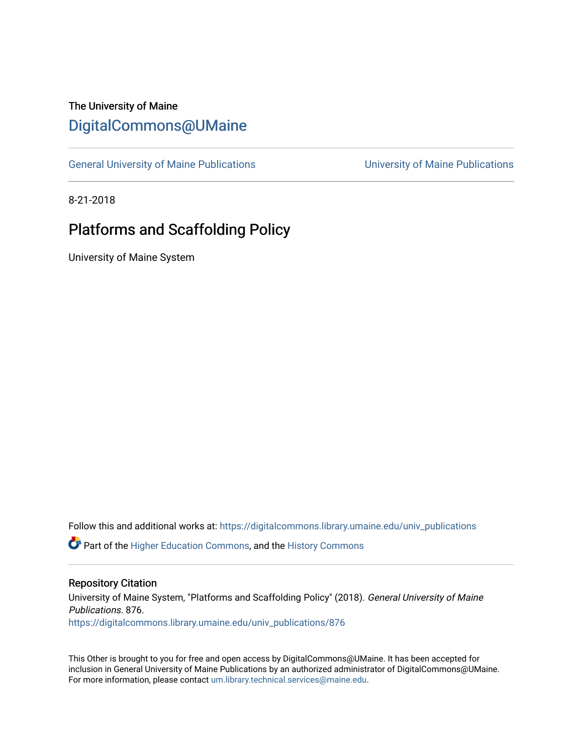# The University of Maine [DigitalCommons@UMaine](https://digitalcommons.library.umaine.edu/)

[General University of Maine Publications](https://digitalcommons.library.umaine.edu/univ_publications) [University of Maine Publications](https://digitalcommons.library.umaine.edu/umaine_publications) 

8-21-2018

# Platforms and Scaffolding Policy

University of Maine System

Follow this and additional works at: [https://digitalcommons.library.umaine.edu/univ\\_publications](https://digitalcommons.library.umaine.edu/univ_publications?utm_source=digitalcommons.library.umaine.edu%2Funiv_publications%2F876&utm_medium=PDF&utm_campaign=PDFCoverPages) 

**C** Part of the [Higher Education Commons,](http://network.bepress.com/hgg/discipline/1245?utm_source=digitalcommons.library.umaine.edu%2Funiv_publications%2F876&utm_medium=PDF&utm_campaign=PDFCoverPages) and the [History Commons](http://network.bepress.com/hgg/discipline/489?utm_source=digitalcommons.library.umaine.edu%2Funiv_publications%2F876&utm_medium=PDF&utm_campaign=PDFCoverPages)

#### Repository Citation

University of Maine System, "Platforms and Scaffolding Policy" (2018). General University of Maine Publications. 876. [https://digitalcommons.library.umaine.edu/univ\\_publications/876](https://digitalcommons.library.umaine.edu/univ_publications/876?utm_source=digitalcommons.library.umaine.edu%2Funiv_publications%2F876&utm_medium=PDF&utm_campaign=PDFCoverPages) 

This Other is brought to you for free and open access by DigitalCommons@UMaine. It has been accepted for inclusion in General University of Maine Publications by an authorized administrator of DigitalCommons@UMaine. For more information, please contact [um.library.technical.services@maine.edu](mailto:um.library.technical.services@maine.edu).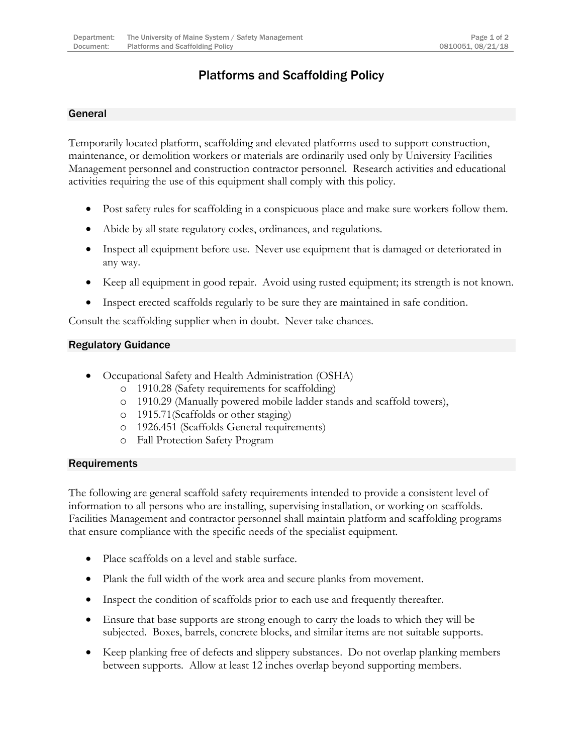## Platforms and Scaffolding Policy

### General

Temporarily located platform, scaffolding and elevated platforms used to support construction, maintenance, or demolition workers or materials are ordinarily used only by University Facilities Management personnel and construction contractor personnel. Research activities and educational activities requiring the use of this equipment shall comply with this policy.

- Post safety rules for scaffolding in a conspicuous place and make sure workers follow them.
- Abide by all state regulatory codes, ordinances, and regulations.
- Inspect all equipment before use. Never use equipment that is damaged or deteriorated in any way.
- Keep all equipment in good repair. Avoid using rusted equipment; its strength is not known.
- Inspect erected scaffolds regularly to be sure they are maintained in safe condition.

Consult the scaffolding supplier when in doubt. Never take chances.

#### Regulatory Guidance

- Occupational Safety and Health Administration (OSHA)
	- o 1910.28 (Safety requirements for scaffolding)
	- o 1910.29 (Manually powered mobile ladder stands and scaffold towers),
	- o 1915.71(Scaffolds or other staging)
	- o 1926.451 (Scaffolds General requirements)
	- o Fall Protection Safety Program

#### **Requirements**

The following are general scaffold safety requirements intended to provide a consistent level of information to all persons who are installing, supervising installation, or working on scaffolds. Facilities Management and contractor personnel shall maintain platform and scaffolding programs that ensure compliance with the specific needs of the specialist equipment.

- Place scaffolds on a level and stable surface.
- Plank the full width of the work area and secure planks from movement.
- Inspect the condition of scaffolds prior to each use and frequently thereafter.
- Ensure that base supports are strong enough to carry the loads to which they will be subjected. Boxes, barrels, concrete blocks, and similar items are not suitable supports.
- Keep planking free of defects and slippery substances. Do not overlap planking members between supports. Allow at least 12 inches overlap beyond supporting members.